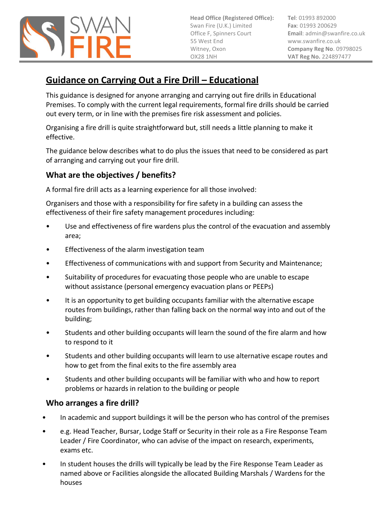

**Head Office (Registered Office):** Swan Fire (U.K.) Limited Office F, Spinners Court 55 West End Witney, Oxon OX28 1NH

**Tel**: 01993 892000 **Fax**: 01993 200629 **Email**[: admin@swanfire.co.uk](mailto:admin@swanfire.co.uk) www.swanfire.co.uk **Company Reg No**. 09798025 **VAT Reg No.** 224897477

# **Guidance on Carrying Out a Fire Drill – Educational**

This guidance is designed for anyone arranging and carrying out fire drills in Educational Premises. To comply with the current legal requirements, formal fire drills should be carried out every term, or in line with the premises fire risk assessment and policies.

Organising a fire drill is quite straightforward but, still needs a little planning to make it effective.

The guidance below describes what to do plus the issues that need to be considered as part of arranging and carrying out your fire drill.

## **What are the objectives / benefits?**

A formal fire drill acts as a learning experience for all those involved:

Organisers and those with a responsibility for fire safety in a building can assess the effectiveness of their fire safety management procedures including:

- Use and effectiveness of fire wardens plus the control of the evacuation and assembly area;
- Effectiveness of the alarm investigation team
- Effectiveness of communications with and support from Security and Maintenance;
- Suitability of procedures for evacuating those people who are unable to escape without assistance (personal emergency evacuation plans or PEEPs)
- It is an opportunity to get building occupants familiar with the alternative escape routes from buildings, rather than falling back on the normal way into and out of the building;
- Students and other building occupants will learn the sound of the fire alarm and how to respond to it
- Students and other building occupants will learn to use alternative escape routes and how to get from the final exits to the fire assembly area
- Students and other building occupants will be familiar with who and how to report problems or hazards in relation to the building or people

## **Who arranges a fire drill?**

- In academic and support buildings it will be the person who has control of the premises
- e.g. Head Teacher, Bursar, Lodge Staff or Security in their role as a Fire Response Team Leader / Fire Coordinator, who can advise of the impact on research, experiments, exams etc.
- In student houses the drills will typically be lead by the Fire Response Team Leader as named above or Facilities alongside the allocated Building Marshals / Wardens for the houses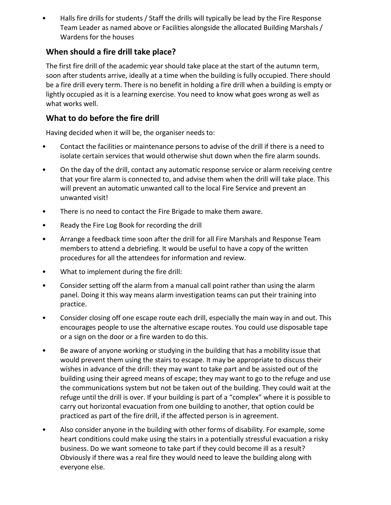• Halls fire drills for students / Staff the drills will typically be lead by the Fire Response Team Leader as named above or Facilities alongside the allocated Building Marshals / Wardens for the houses

### **When should a fire drill take place?**

The first fire drill of the academic year should take place at the start of the autumn term, soon after students arrive, ideally at a time when the building is fully occupied. There should be a fire drill every term. There is no benefit in holding a fire drill when a building is empty or lightly occupied as it is a learning exercise. You need to know what goes wrong as well as what works well.

### **What to do before the fire drill**

Having decided when it will be, the organiser needs to:

- Contact the facilities or maintenance persons to advise of the drill if there is a need to isolate certain services that would otherwise shut down when the fire alarm sounds.
- On the day of the drill, contact any automatic response service or alarm receiving centre that your fire alarm is connected to, and advise them when the drill will take place. This will prevent an automatic unwanted call to the local Fire Service and prevent an unwanted visit!
- There is no need to contact the Fire Brigade to make them aware.
- Ready the Fire Log Book for recording the drill
- Arrange a feedback time soon after the drill for all Fire Marshals and Response Team members to attend a debriefing. It would be useful to have a copy of the written procedures for all the attendees for information and review.
- What to implement during the fire drill:
- Consider setting off the alarm from a manual call point rather than using the alarm panel. Doing it this way means alarm investigation teams can put their training into practice.
- Consider closing off one escape route each drill, especially the main way in and out. This encourages people to use the alternative escape routes. You could use disposable tape or a sign on the door or a fire warden to do this.
- Be aware of anyone working or studying in the building that has a mobility issue that would prevent them using the stairs to escape. It may be appropriate to discuss their wishes in advance of the drill: they may want to take part and be assisted out of the building using their agreed means of escape; they may want to go to the refuge and use the communications system but not be taken out of the building. They could wait at the refuge until the drill is over. If your building is part of a "complex" where it is possible to carry out horizontal evacuation from one building to another, that option could be practiced as part of the fire drill, if the affected person is in agreement.
- Also consider anyone in the building with other forms of disability. For example, some heart conditions could make using the stairs in a potentially stressful evacuation a risky business. Do we want someone to take part if they could become ill as a result? Obviously if there was a real fire they would need to leave the building along with everyone else.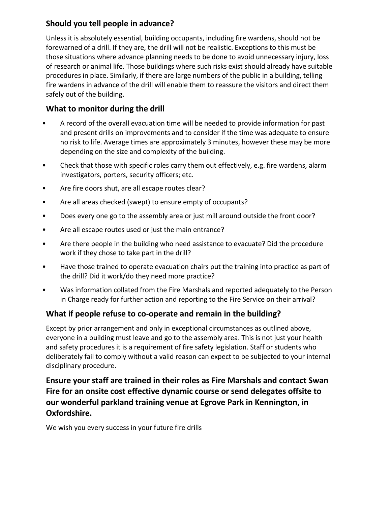### **Should you tell people in advance?**

Unless it is absolutely essential, building occupants, including fire wardens, should not be forewarned of a drill. If they are, the drill will not be realistic. Exceptions to this must be those situations where advance planning needs to be done to avoid unnecessary injury, loss of research or animal life. Those buildings where such risks exist should already have suitable procedures in place. Similarly, if there are large numbers of the public in a building, telling fire wardens in advance of the drill will enable them to reassure the visitors and direct them safely out of the building.

### **What to monitor during the drill**

- A record of the overall evacuation time will be needed to provide information for past and present drills on improvements and to consider if the time was adequate to ensure no risk to life. Average times are approximately 3 minutes, however these may be more depending on the size and complexity of the building.
- Check that those with specific roles carry them out effectively, e.g. fire wardens, alarm investigators, porters, security officers; etc.
- Are fire doors shut, are all escape routes clear?
- Are all areas checked (swept) to ensure empty of occupants?
- Does every one go to the assembly area or just mill around outside the front door?
- Are all escape routes used or just the main entrance?
- Are there people in the building who need assistance to evacuate? Did the procedure work if they chose to take part in the drill?
- Have those trained to operate evacuation chairs put the training into practice as part of the drill? Did it work/do they need more practice?
- Was information collated from the Fire Marshals and reported adequately to the Person in Charge ready for further action and reporting to the Fire Service on their arrival?

### **What if people refuse to co-operate and remain in the building?**

Except by prior arrangement and only in exceptional circumstances as outlined above, everyone in a building must leave and go to the assembly area. This is not just your health and safety procedures it is a requirement of fire safety legislation. Staff or students who deliberately fail to comply without a valid reason can expect to be subjected to your internal disciplinary procedure.

**Ensure your staff are trained in their roles as Fire Marshals and contact Swan Fire for an onsite cost effective dynamic course or send delegates offsite to our wonderful parkland training venue at Egrove Park in Kennington, in Oxfordshire.**

We wish you every success in your future fire drills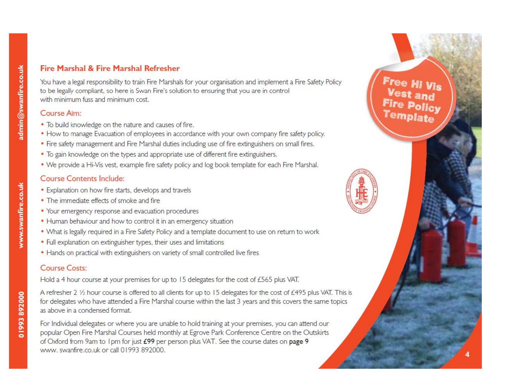### Fire Marshal & Fire Marshal Refresher

You have a legal responsibility to train Fire Marshals for your organisation and implement a Fire Safety Policy to be legally compliant, so here is Swan Fire's solution to ensuring that you are in control with minimum fuss and minimum cost.

#### Course Aim:

- To build knowledge on the nature and causes of fire.
- How to manage Evacuation of employees in accordance with your own company fire safety policy.
- Fire safety management and Fire Marshal duties including use of fire extinguishers on small fires.
- To gain knowledge on the types and appropriate use of different fire extinguishers.
- . We provide a Hi-Vis vest, example fire safety policy and log book template for each Fire Marshal.

#### **Course Contents Include:**

- Explanation on how fire starts, develops and travels
- The immediate effects of smoke and fire
- Your emergency response and evacuation procedures
- Human behaviour and how to control it in an emergency situation
- . What is legally required in a Fire Safety Policy and a template document to use on return to work
- Full explanation on extinguisher types, their uses and limitations
- Hands on practical with extinguishers on variety of small controlled live fires

#### **Course Costs:**

Hold a 4 hour course at your premises for up to 15 delegates for the cost of £565 plus VAT.

A refresher 2 1/2 hour course is offered to all clients for up to 15 delegates for the cost of £495 plus VAT. This is for delegates who have attended a Fire Marshal course within the last 3 years and this covers the same topics as above in a condensed format.

For Individual delegates or where you are unable to hold training at your premises, you can attend our popular Open Fire Marshal Courses held monthly at Egrove Park Conference Centre on the Outskirts of Oxford from 9am to 1pm for just £99 per person plus VAT. See the course dates on page 9 www. swanfire.co.uk or call 01993 892000.

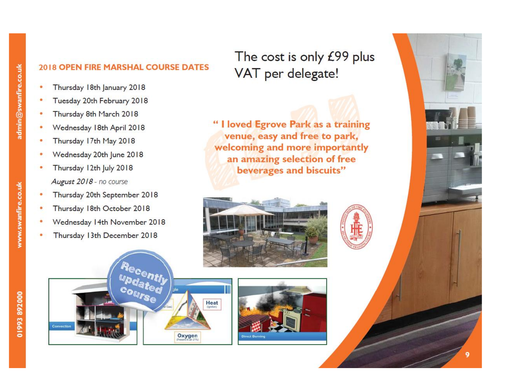## 2018 OPEN FIRE MARSHAL COURSE DATES

- Thursday 18th January 2018
- Tuesday 20th February 2018
- Thursday 8th March 2018
- Wednesday 18th April 2018
- Thursday 17th May 2018
- Wednesday 20th June 2018
- Thursday 12th July 2018 August 2018 - no course
- Thursday 20th September 2018
- Thursday 18th October 2018
- Wednesday 14th November 2018
- Thursday 13th December 2018

The cost is only £99 plus VAT per delegate!

"I loved Egrove Park as a training venue, easy and free to park, welcoming and more importantly an amazing selection of free beverages and biscuits"



Heat

Oxygen





COUITSC

Convection

www.swanfire.co.uk